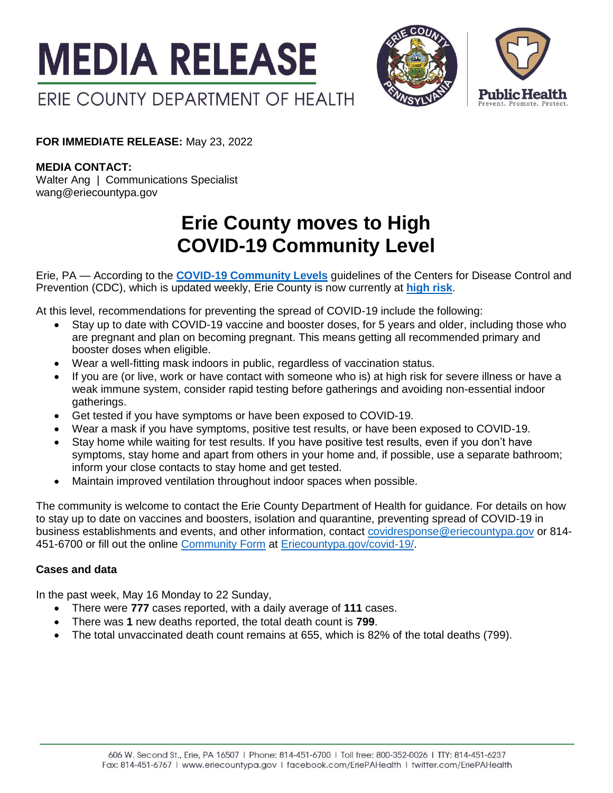



**FOR IMMEDIATE RELEASE:** May 23, 2022

**MEDIA CONTACT:**

Walter Ang | Communications Specialist wang@eriecountypa.gov

## **Erie County moves to High COVID-19 Community Level**

Erie, PA — According to the **[COVID-19 Community Levels](https://www.cdc.gov/coronavirus/2019-ncov/science/community-levels.html)** guidelines of the Centers for Disease Control and Prevention (CDC), which is updated weekly, Erie County is now currently at **[high](https://www.cdc.gov/coronavirus/2019-ncov/your-health/covid-by-county.html) risk**.

At this level, recommendations for preventing the spread of COVID-19 include the following:

- Stay up to date with COVID-19 vaccine and booster doses, for 5 years and older, including those who are pregnant and plan on becoming pregnant. This means getting all recommended primary and booster doses when eligible.
- Wear a well-fitting mask indoors in public, regardless of vaccination status.
- If you are (or live, work or have contact with someone who is) at high risk for severe illness or have a weak immune system, consider rapid testing before gatherings and avoiding non-essential indoor gatherings.
- Get tested if you have symptoms or have been exposed to COVID-19.
- Wear a mask if you have symptoms, positive test results, or have been exposed to COVID-19.
- Stay home while waiting for test results. If you have positive test results, even if you don't have symptoms, stay home and apart from others in your home and, if possible, use a separate bathroom; inform your close contacts to stay home and get tested.
- Maintain improved ventilation throughout indoor spaces when possible.

The community is welcome to contact the Erie County Department of Health for guidance. For details on how to stay up to date on vaccines and boosters, isolation and quarantine, preventing spread of COVID-19 in business establishments and events, and other information, contact [covidresponse@eriecountypa.gov](mailto:covidresponse@eriecountypa.gov) or 814- 451-6700 or fill out the online [Community Form](https://eriecountypa.gov/?page_id=28362&preview=true) at [Eriecountypa.gov/covid-19/.](https://eriecountypa.gov/covid-19/)

## **Cases and data**

In the past week, May 16 Monday to 22 Sunday,

- There were **777** cases reported, with a daily average of **111** cases.
- There was **1** new deaths reported, the total death count is **799**.
- The total unvaccinated death count remains at 655, which is 82% of the total deaths (799).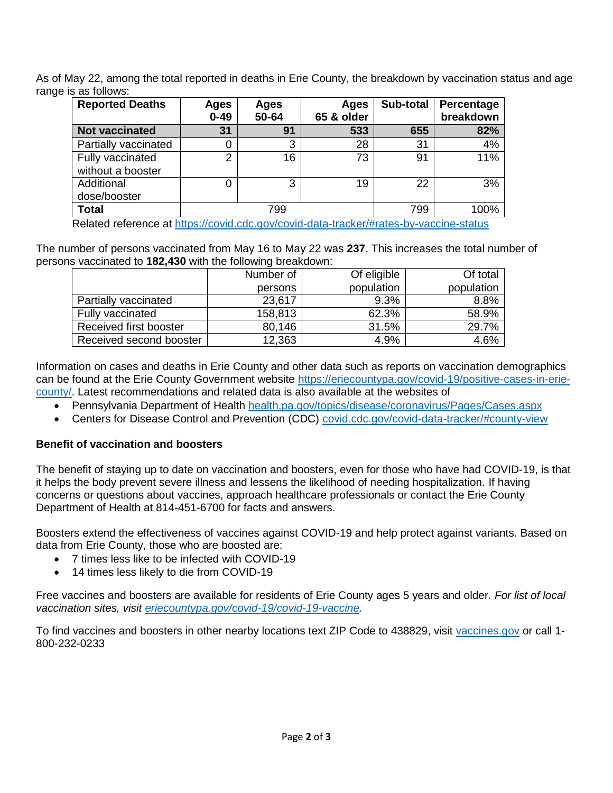As of May 22, among the total reported in deaths in Erie County, the breakdown by vaccination status and age range is as follows:

| <b>Reported Deaths</b> | Ages<br>$0 - 49$ | Ages<br>50-64 | Ages<br>65 & older | Sub-total | Percentage<br>breakdown |
|------------------------|------------------|---------------|--------------------|-----------|-------------------------|
| <b>Not vaccinated</b>  | 31               | 91            | 533                | 655       | 82%                     |
| Partially vaccinated   | 0                | 3             | 28                 | 31        | 4%                      |
| Fully vaccinated       | ⌒                | 16            | 73                 | 91        | 11%                     |
| without a booster      |                  |               |                    |           |                         |
| Additional             | 0                | 3             | 19                 | 22        | 3%                      |
| dose/booster           |                  |               |                    |           |                         |
| <b>Total</b>           | 799              |               |                    | 799       | 100%                    |

Related reference at<https://covid.cdc.gov/covid-data-tracker/#rates-by-vaccine-status>

The number of persons vaccinated from May 16 to May 22 was **237**. This increases the total number of persons vaccinated to **182,430** with the following breakdown:

|                         | Number of | Of eligible | Of total   |
|-------------------------|-----------|-------------|------------|
|                         | persons   | population  | population |
| Partially vaccinated    | 23,617    | 9.3%        | 8.8%       |
| Fully vaccinated        | 158,813   | 62.3%       | 58.9%      |
| Received first booster  | 80,146    | 31.5%       | 29.7%      |
| Received second booster | 12,363    | 4.9%        | 4.6%       |

Information on cases and deaths in Erie County and other data such as reports on vaccination demographics can be found at the Erie County Government website [https://eriecountypa.gov/covid-19/positive-cases-in-erie](https://eriecountypa.gov/covid-19/positive-cases-in-erie-county/)[county/.](https://eriecountypa.gov/covid-19/positive-cases-in-erie-county/) Latest recommendations and related data is also available at the websites of

Pennsylvania Department of Health [health.pa.gov/topics/disease/coronavirus/Pages/Cases.aspx](https://health.pa.gov/topics/disease/coronavirus/Pages/Cases.aspx)

Centers for Disease Control and Prevention (CDC) [covid.cdc.gov/covid-data-tracker/#county-view](https://covid.cdc.gov/covid-data-tracker/#county-view)

## **Benefit of vaccination and boosters**

The benefit of staying up to date on vaccination and boosters, even for those who have had COVID-19, is that it helps the body prevent severe illness and lessens the likelihood of needing hospitalization. If having concerns or questions about vaccines, approach healthcare professionals or contact the Erie County Department of Health at 814-451-6700 for facts and answers.

Boosters extend the effectiveness of vaccines against COVID-19 and help protect against variants. Based on data from Erie County, those who are boosted are:

- 7 times less like to be infected with COVID-19
- 14 times less likely to die from COVID-19

Free vaccines and boosters are available for residents of Erie County ages 5 years and older. *For list of local vaccination sites, visit [eriecountypa.gov/covid-19/covid-19-vaccine.](https://eriecountypa.gov/covid-19/covid-19-vaccine/)* 

To find vaccines and boosters in other nearby locations text ZIP Code to 438829, visit [vaccines.gov](https://www.vaccines.gov/) or call 1- 800-232-0233